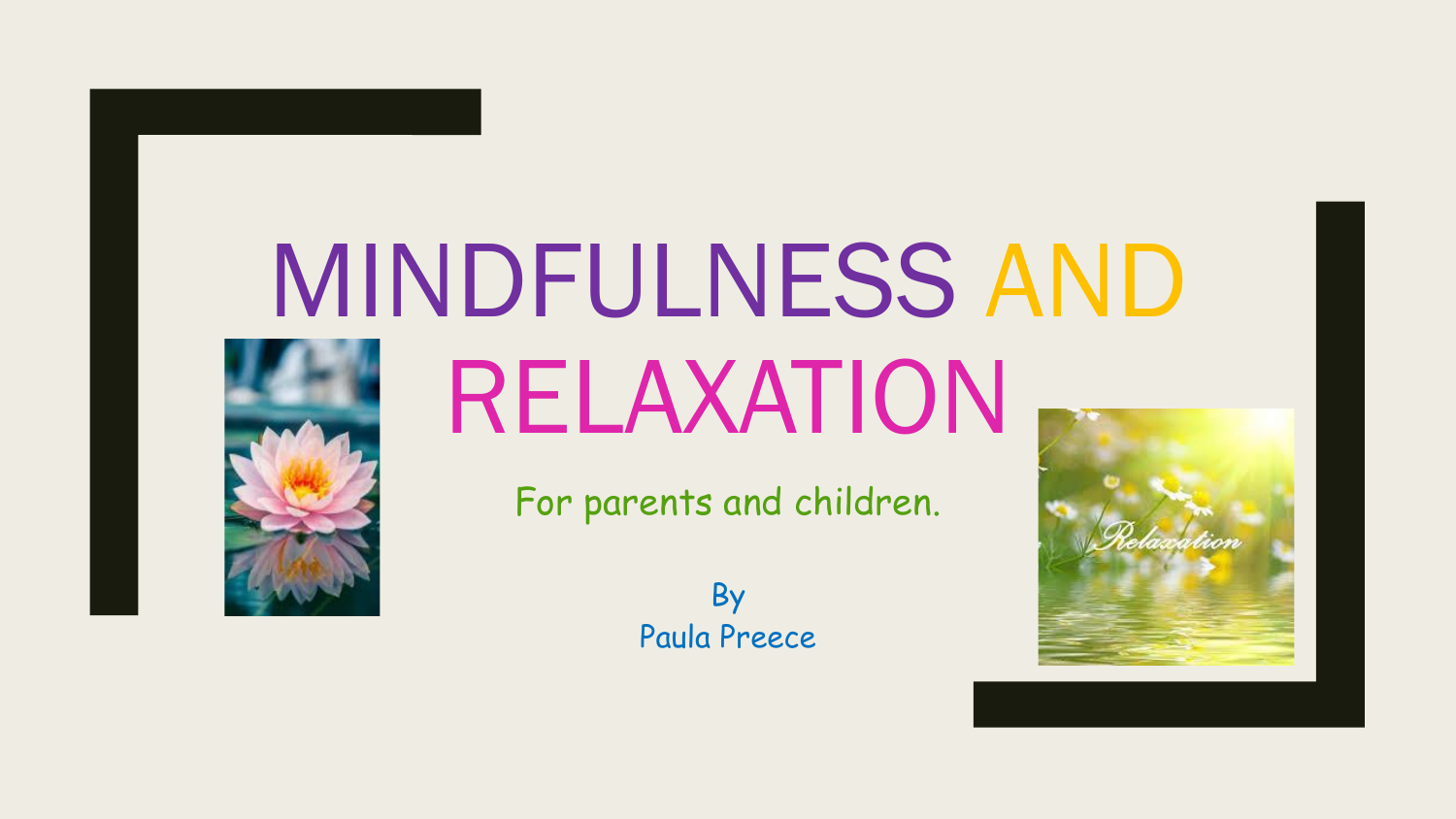# MINDFULNESS AND RELAXATION



For parents and children.

By Paula Preece

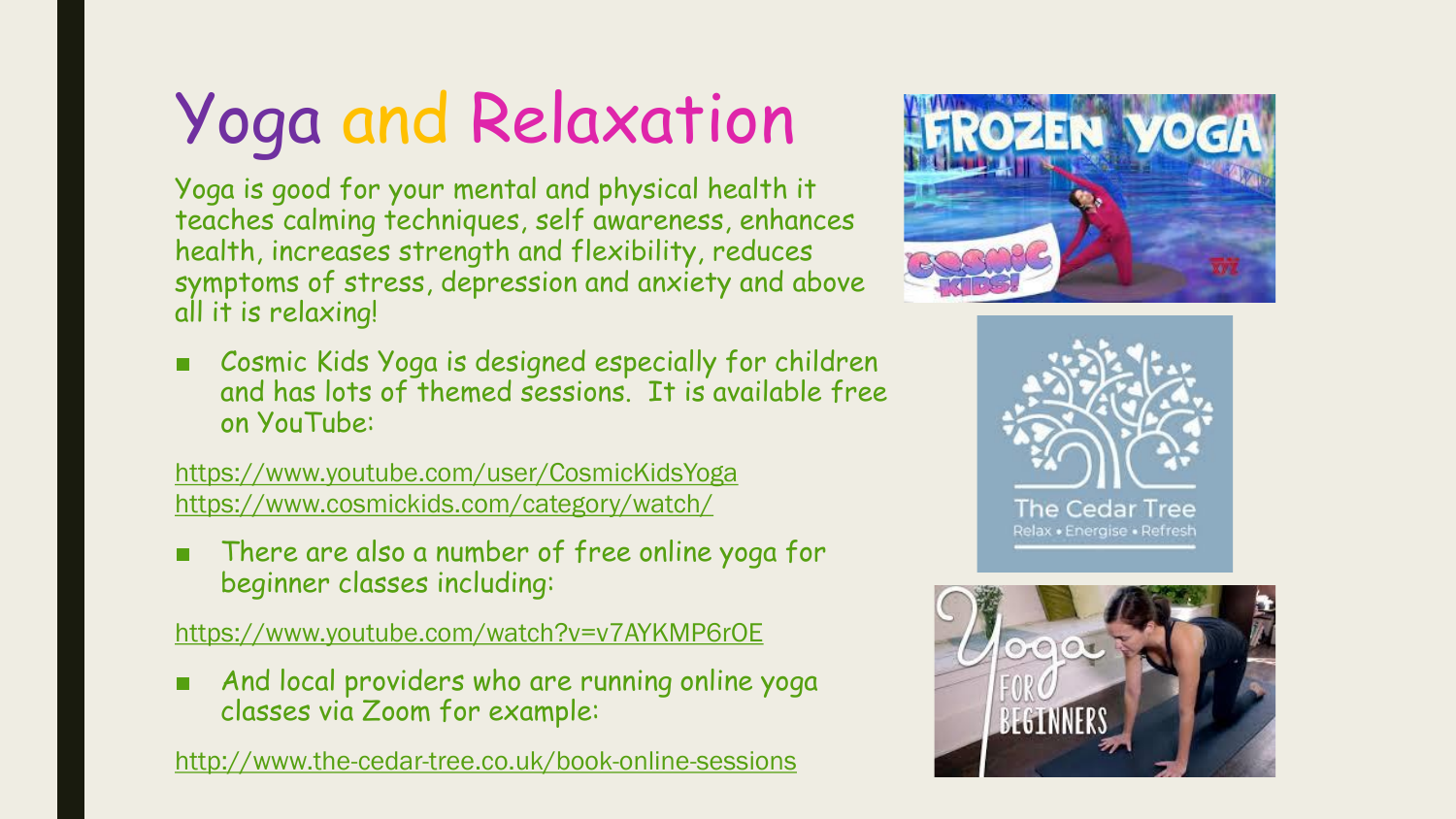# Yoga and Relaxation

Yoga is good for your mental and physical health it teaches calming techniques, self awareness, enhances health, increases strength and flexibility, reduces symptoms of stress, depression and anxiety and above all it is relaxing!

Cosmic Kids Yoga is designed especially for children and has lots of themed sessions. It is available free on YouTube:

<https://www.youtube.com/user/CosmicKidsYoga> <https://www.cosmickids.com/category/watch/>

There are also a number of free online yoga for beginner classes including:

<https://www.youtube.com/watch?v=v7AYKMP6rOE>

And local providers who are running online yoga classes via Zoom for example:

<http://www.the-cedar-tree.co.uk/book-online-sessions>





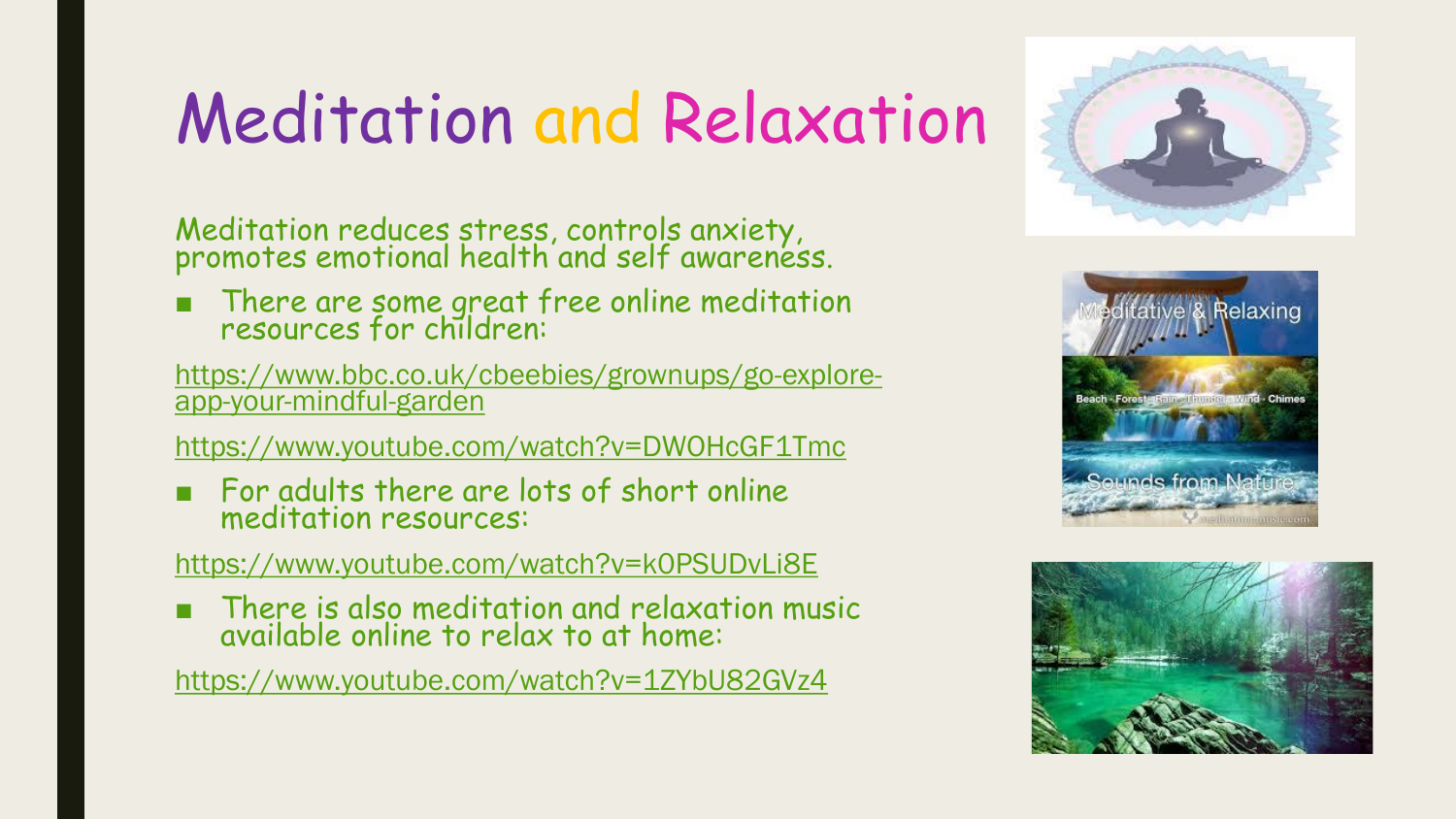### Meditation and Relaxation

Meditation reduces stress, controls anxiety, promotes emotional health and self awareness.

■ There are some great free online meditation resources for children:

[https://www.bbc.co.uk/cbeebies/grownups/go-explore](https://www.bbc.co.uk/cbeebies/grownups/go-explore-app-your-mindful-garden)app-your-mindful-garden

<https://www.youtube.com/watch?v=DWOHcGF1Tmc>

■ For adults there are lots of short online meditation resources:

#### <https://www.youtube.com/watch?v=k0PSUDvLi8E>

There is also meditation and relaxation music available online to relax to at home:

<https://www.youtube.com/watch?v=1ZYbU82GVz4>





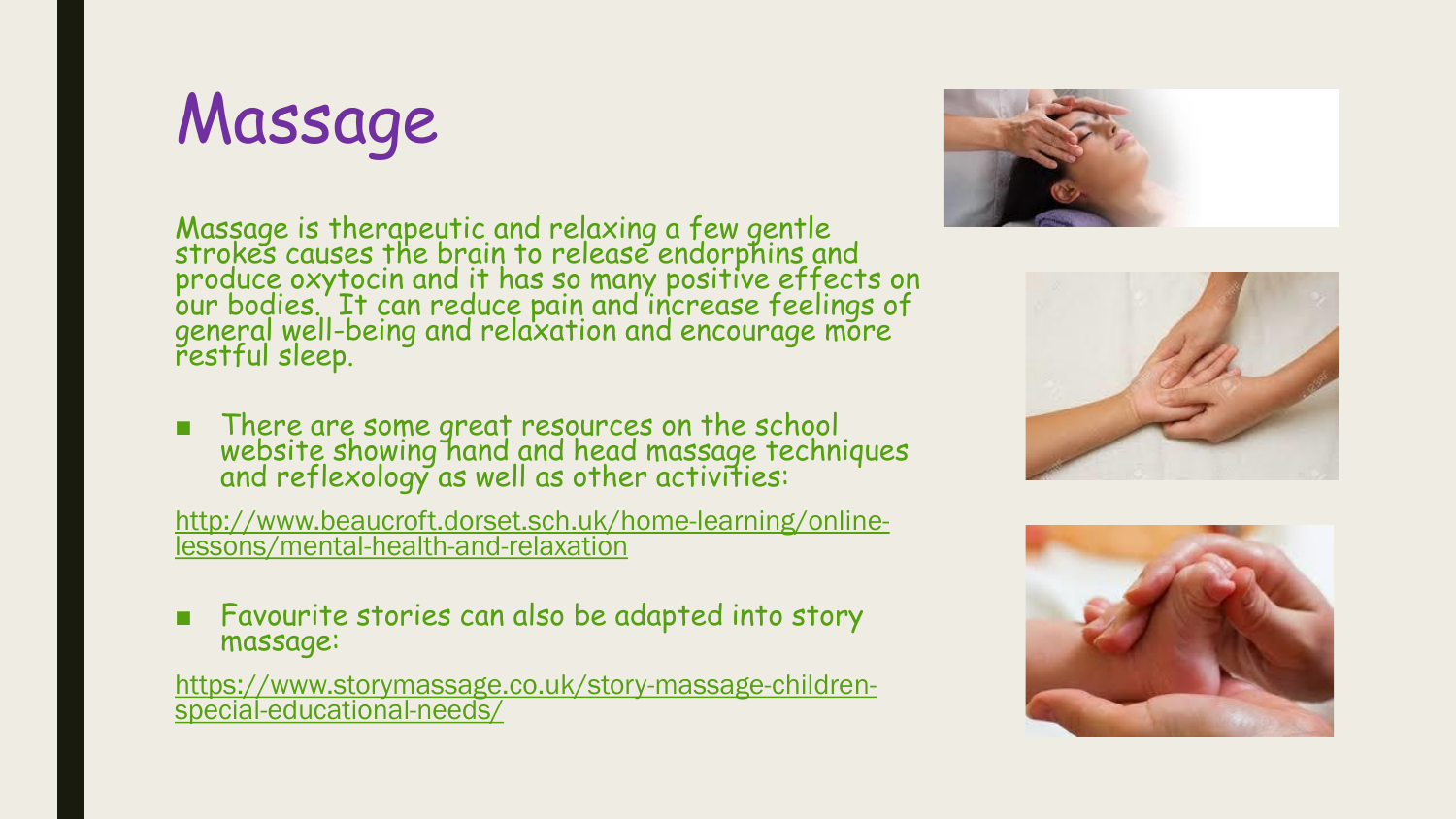#### Massage

Massage is therapeutic and relaxing a few gentle strokes causes the brain to release endorphins and produce oxytocin and it has so many positive effects on our bodies. It can reduce pain and increase feelings of general well-being and relaxation and encourage more restful sleep.

■ There are some great resources on the school website showing hand and head massage techniques and reflexology as well as other activities:

[http://www.beaucroft.dorset.sch.uk/home-learning/online](http://www.beaucroft.dorset.sch.uk/home-learning/online-lessons/mental-health-and-relaxation)lessons/mental-health-and-relaxation

Favourite stories can also be adapted into story massage:

[https://www.storymassage.co.uk/story-massage-children](https://www.storymassage.co.uk/story-massage-children-special-educational-needs/)special-educational-needs/





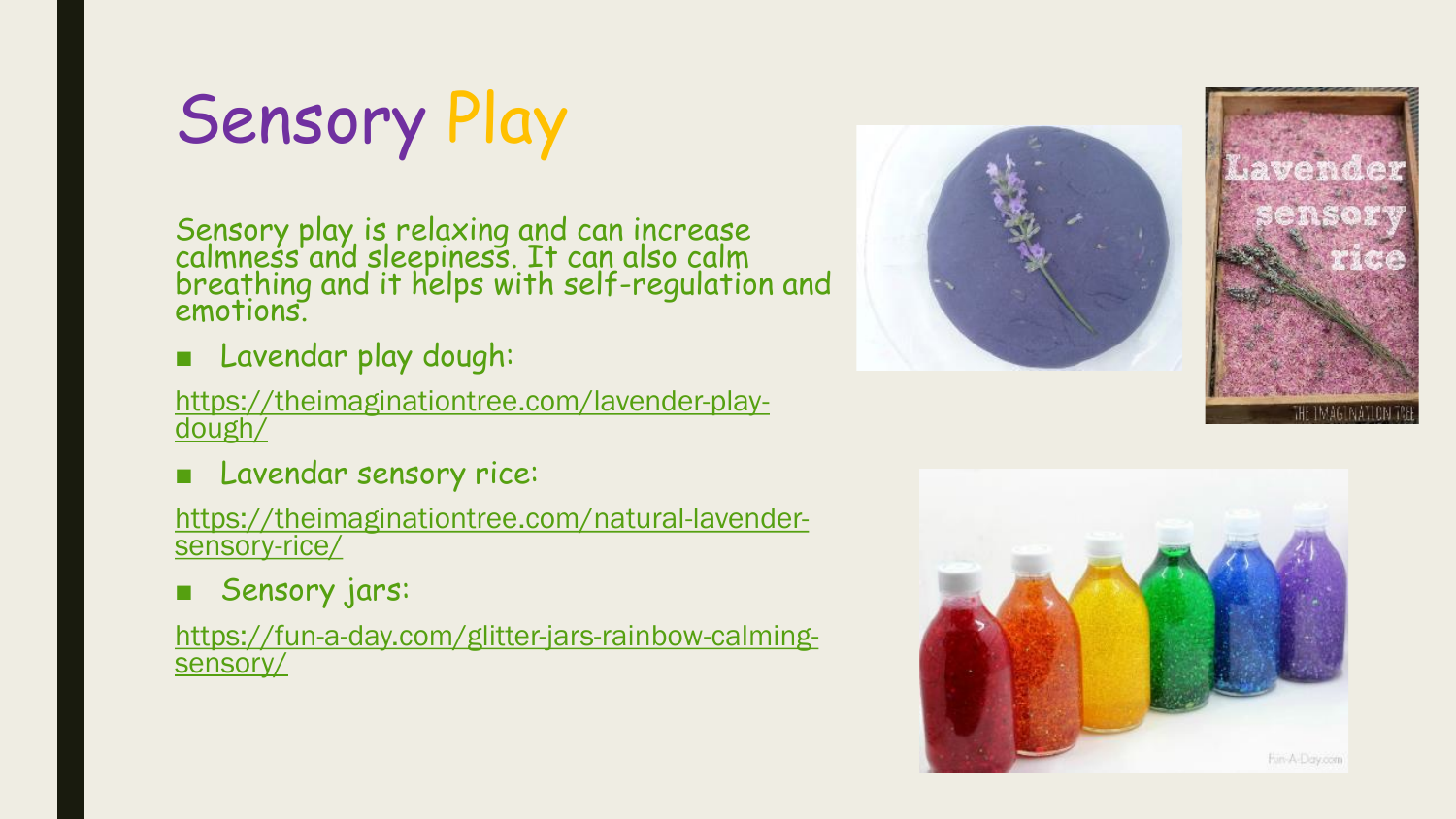Sensory Play

Sensory play is relaxing and can increase calmness and sleepiness. It can also calm breathing and it helps with self-regulation and emotions.

■ Lavendar play dough:

[https://theimaginationtree.com/lavender-play](https://theimaginationtree.com/lavender-play-dough/)dough/

■ Lavendar sensory rice:

[https://theimaginationtree.com/natural-lavender](https://theimaginationtree.com/natural-lavender-sensory-rice/)sensory-rice/

■ Sensory jars:

[https://fun-a-day.com/glitter-jars-rainbow-calming](https://fun-a-day.com/glitter-jars-rainbow-calming-sensory/)sensory/



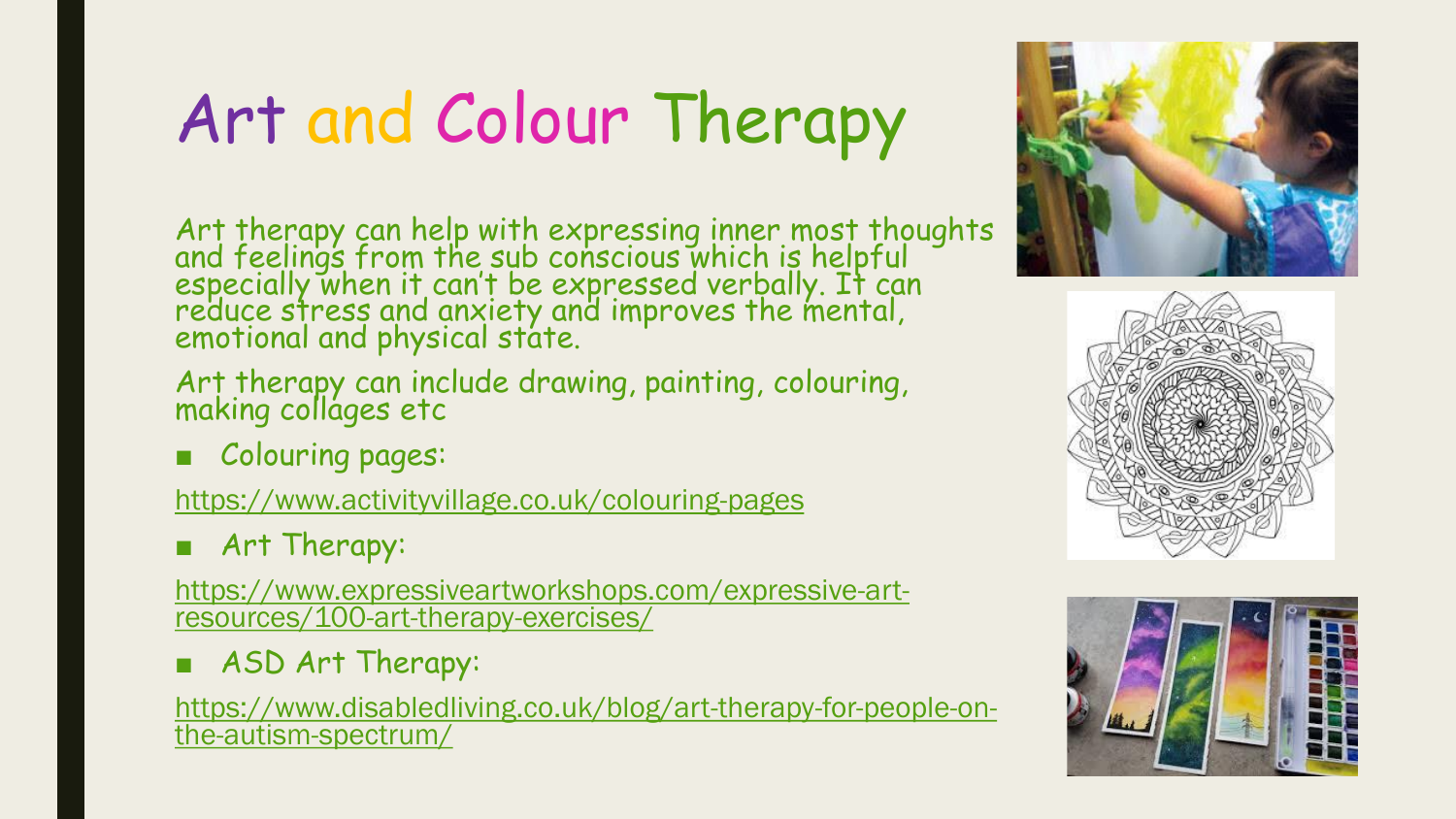# Art and Colour Therapy

Art therapy can help with expressing inner most thoughts and feelings from the sub conscious which is helpful especially when it can't be expressed verbally. It can reduce stress and anxiety and improves the mental, emotional and physical state.

Art therapy can include drawing, painting, colouring, making collages etc

■ Colouring pages:

<https://www.activityvillage.co.uk/colouring-pages>

■ Art Therapy:

[https://www.expressiveartworkshops.com/expressive-art](https://www.expressiveartworkshops.com/expressive-art-resources/100-art-therapy-exercises/)resources/100-art-therapy-exercises/

■ ASD Art Therapy:

[https://www.disabledliving.co.uk/blog/art-therapy-for-people-on](https://www.disabledliving.co.uk/blog/art-therapy-for-people-on-the-autism-spectrum/)the-autism-spectrum/





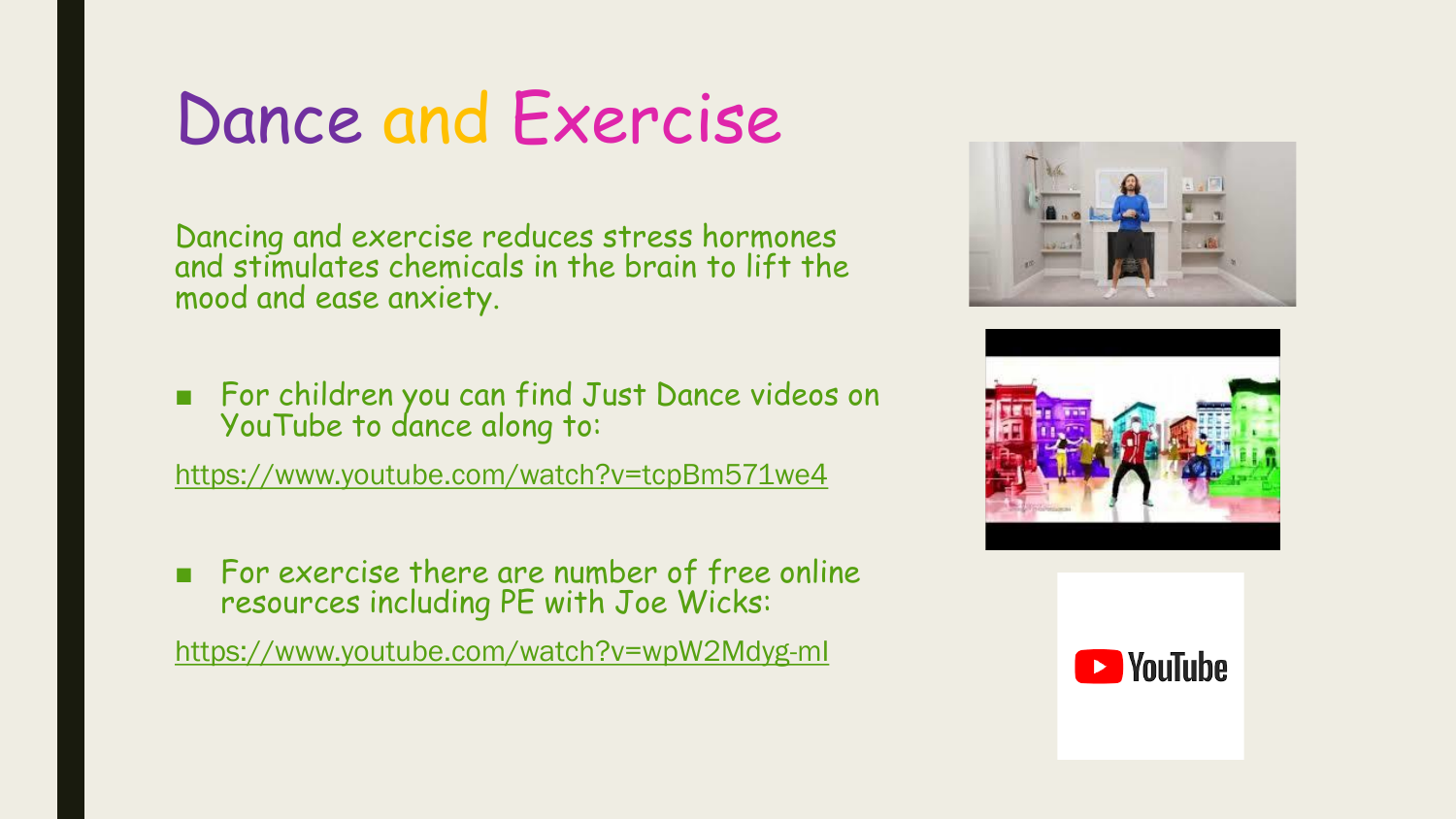#### Dance and Exercise

Dancing and exercise reduces stress hormones and stimulates chemicals in the brain to lift the mood and ease anxiety.

■ For children you can find Just Dance videos on YouTube to dance along to:

<https://www.youtube.com/watch?v=tcpBm571we4>

■ For exercise there are number of free online resources including PE with Joe Wicks:

<https://www.youtube.com/watch?v=wpW2Mdyg-mI>





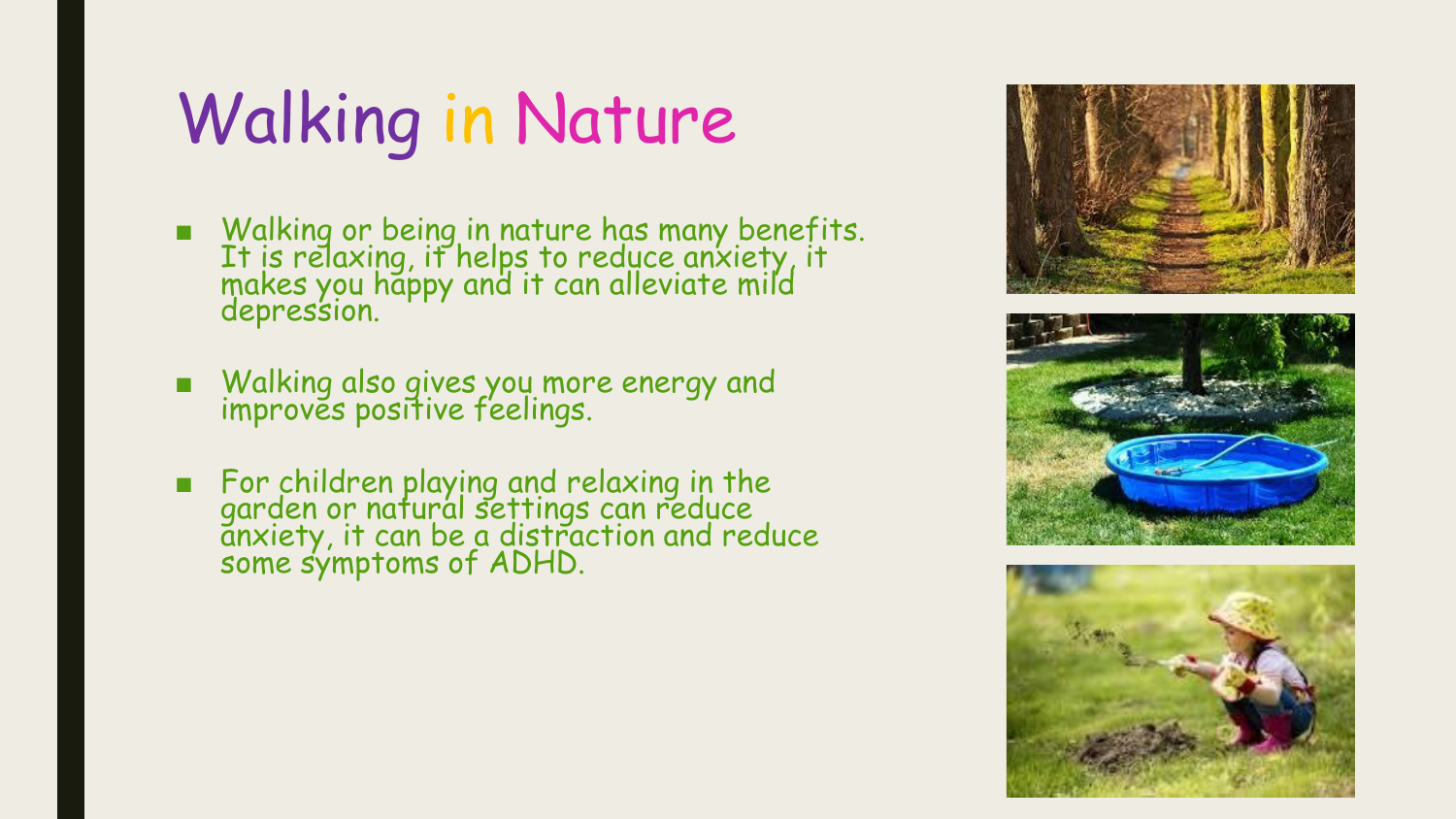## Walking in Nature

- Walking or being in nature has many benefits. It is relaxing, it helps to reduce anxiety, it makes you happy and it can alleviate mild depression.
- Walking also gives you more energy and improves positive feelings.
- For children playing and relaxing in the garden or natural settings can reduce anxiety, it can be a distraction and reduce some symptoms of ADHD.





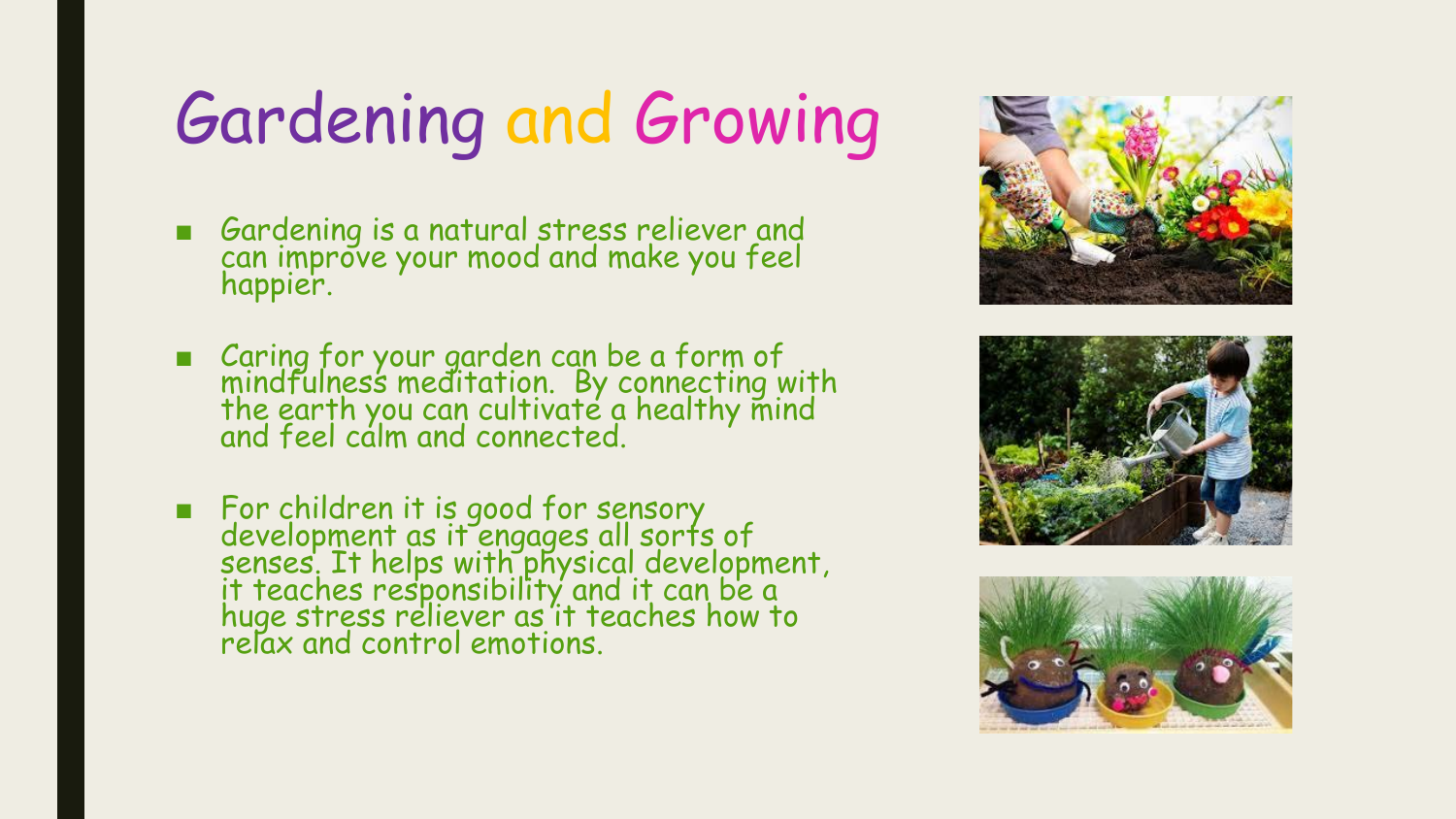# Gardening and Growing

- Gardening is a natural stress reliever and can improve your mood and make you feel happier.
- Caring for your garden can be a form of mindfulness meditation. By connecting with the earth you can cultivate a healthy mind and feel calm and connected.
- For children it is good for sensory development as it engages all sorts of senses. It helps with physical development, it teaches responsibility and it can be a huge stress reliever as it teaches how to relax and control emotions.